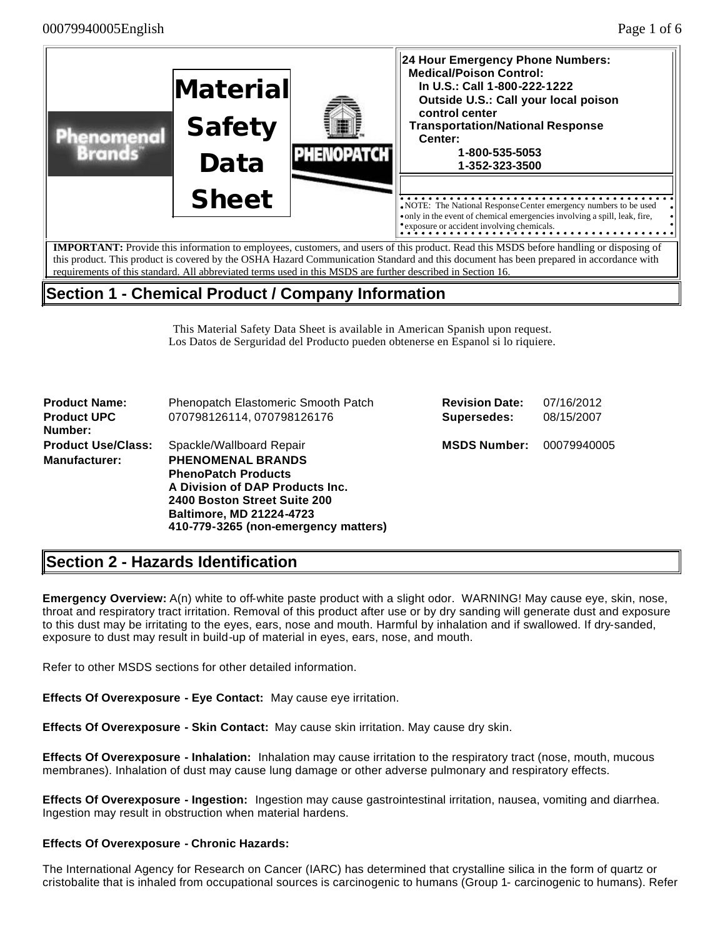

## **Section 1 - Chemical Product / Company Information**

This Material Safety Data Sheet is available in American Spanish upon request. Los Datos de Serguridad del Producto pueden obtenerse en Espanol si lo riquiere.

| <b>Product Name:</b><br><b>Product UPC</b><br>Number: | Phenopatch Elastomeric Smooth Patch<br>070798126114, 070798126176                                                                                                                                                                | <b>Revision Date:</b><br>Supersedes: | 07/16/2012<br>08/15/2007 |
|-------------------------------------------------------|----------------------------------------------------------------------------------------------------------------------------------------------------------------------------------------------------------------------------------|--------------------------------------|--------------------------|
| <b>Product Use/Class:</b><br><b>Manufacturer:</b>     | Spackle/Wallboard Repair<br><b>PHENOMENAL BRANDS</b><br><b>PhenoPatch Products</b><br>A Division of DAP Products Inc.<br>2400 Boston Street Suite 200<br><b>Baltimore, MD 21224-4723</b><br>410-779-3265 (non-emergency matters) | <b>MSDS Number:</b>                  | 00079940005              |

# **Section 2 - Hazards Identification**

**Emergency Overview:** A(n) white to off-white paste product with a slight odor. WARNING! May cause eye, skin, nose, throat and respiratory tract irritation. Removal of this product after use or by dry sanding will generate dust and exposure to this dust may be irritating to the eyes, ears, nose and mouth. Harmful by inhalation and if swallowed. If dry-sanded, exposure to dust may result in build-up of material in eyes, ears, nose, and mouth.

Refer to other MSDS sections for other detailed information.

**Effects Of Overexposure - Eye Contact:** May cause eye irritation.

**Effects Of Overexposure - Skin Contact:** May cause skin irritation. May cause dry skin.

**Effects Of Overexposure - Inhalation:** Inhalation may cause irritation to the respiratory tract (nose, mouth, mucous membranes). Inhalation of dust may cause lung damage or other adverse pulmonary and respiratory effects.

**Effects Of Overexposure - Ingestion:** Ingestion may cause gastrointestinal irritation, nausea, vomiting and diarrhea. Ingestion may result in obstruction when material hardens.

### **Effects Of Overexposure - Chronic Hazards:**

The International Agency for Research on Cancer (IARC) has determined that crystalline silica in the form of quartz or cristobalite that is inhaled from occupational sources is carcinogenic to humans (Group 1- carcinogenic to humans). Refer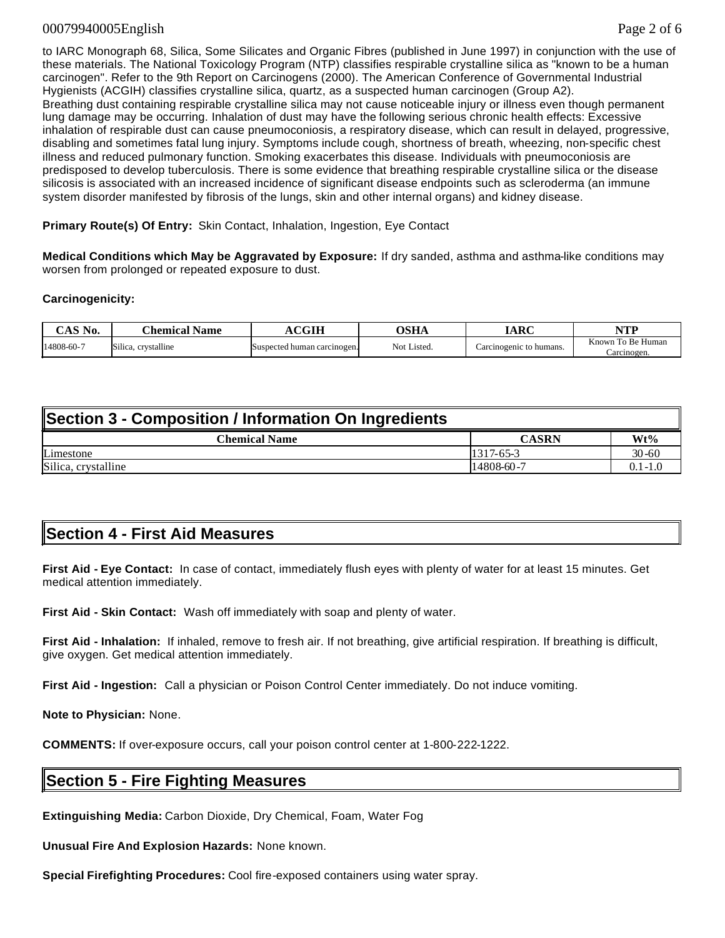### 00079940005English Page 2 of 6

to IARC Monograph 68, Silica, Some Silicates and Organic Fibres (published in June 1997) in conjunction with the use of these materials. The National Toxicology Program (NTP) classifies respirable crystalline silica as "known to be a human carcinogen". Refer to the 9th Report on Carcinogens (2000). The American Conference of Governmental Industrial Hygienists (ACGIH) classifies crystalline silica, quartz, as a suspected human carcinogen (Group A2). Breathing dust containing respirable crystalline silica may not cause noticeable injury or illness even though permanent lung damage may be occurring. Inhalation of dust may have the following serious chronic health effects: Excessive inhalation of respirable dust can cause pneumoconiosis, a respiratory disease, which can result in delayed, progressive, disabling and sometimes fatal lung injury. Symptoms include cough, shortness of breath, wheezing, non-specific chest illness and reduced pulmonary function. Smoking exacerbates this disease. Individuals with pneumoconiosis are predisposed to develop tuberculosis. There is some evidence that breathing respirable crystalline silica or the disease silicosis is associated with an increased incidence of significant disease endpoints such as scleroderma (an immune system disorder manifested by fibrosis of the lungs, skin and other internal organs) and kidney disease.

**Primary Route(s) Of Entry:** Skin Contact, Inhalation, Ingestion, Eye Contact

**Medical Conditions which May be Aggravated by Exposure:** If dry sanded, asthma and asthma-like conditions may worsen from prolonged or repeated exposure to dust.

### **Carcinogenicity:**

| $^{\circ}$ AS No. | <b>Name</b><br>.'hemical           | CGIH                        | OSHA        | ADC<br>m                | VTD<br>,,,,                         |
|-------------------|------------------------------------|-----------------------------|-------------|-------------------------|-------------------------------------|
| 14808-60-7        | $\sim$<br>. crystalline<br>Silica. | Suspected human carcinogen. | Not Listed. | Carcinogenic to humans. | Known<br>To Be Human<br>∴arcınogen. |

| Section 3 - Composition / Information On Ingredients |                 |             |  |  |
|------------------------------------------------------|-----------------|-------------|--|--|
| Chemical Name                                        | <b>CASRN</b>    | $Wt\%$      |  |  |
| Limestone                                            | $1317 - 65 - 3$ | $30 - 60$   |  |  |
| Silica, crystalline                                  | 14808-60-7      | $0.1 - 1.0$ |  |  |

## **Section 4 - First Aid Measures**

**First Aid - Eye Contact:** In case of contact, immediately flush eyes with plenty of water for at least 15 minutes. Get medical attention immediately.

**First Aid - Skin Contact:** Wash off immediately with soap and plenty of water.

**First Aid - Inhalation:** If inhaled, remove to fresh air. If not breathing, give artificial respiration. If breathing is difficult, give oxygen. Get medical attention immediately.

**First Aid - Ingestion:** Call a physician or Poison Control Center immediately. Do not induce vomiting.

**Note to Physician:** None.

**COMMENTS:** If over-exposure occurs, call your poison control center at 1-800-222-1222.

### **Section 5 - Fire Fighting Measures**

**Extinguishing Media:** Carbon Dioxide, Dry Chemical, Foam, Water Fog

**Unusual Fire And Explosion Hazards:** None known.

**Special Firefighting Procedures:** Cool fire-exposed containers using water spray.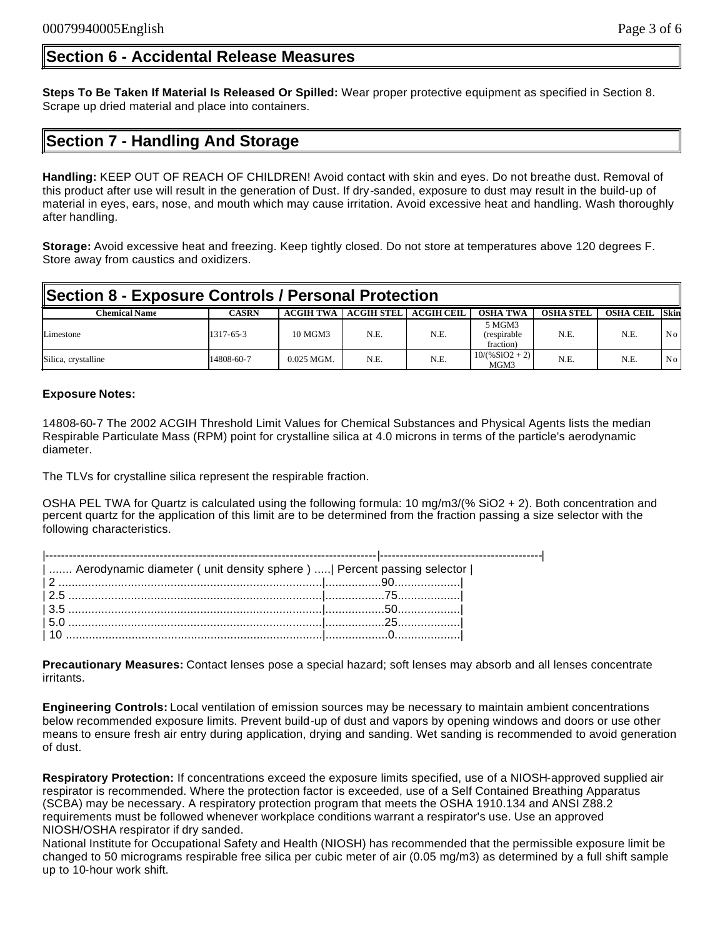### **Section 6 - Accidental Release Measures**

**Steps To Be Taken If Material Is Released Or Spilled:** Wear proper protective equipment as specified in Section 8. Scrape up dried material and place into containers.

## **Section 7 - Handling And Storage**

**Handling:** KEEP OUT OF REACH OF CHILDREN! Avoid contact with skin and eyes. Do not breathe dust. Removal of this product after use will result in the generation of Dust. If dry-sanded, exposure to dust may result in the build-up of material in eyes, ears, nose, and mouth which may cause irritation. Avoid excessive heat and handling. Wash thoroughly after handling.

**Storage:** Avoid excessive heat and freezing. Keep tightly closed. Do not store at temperatures above 120 degrees F. Store away from caustics and oxidizers.

| Section 8 - Exposure Controls / Personal Protection |              |                  |                   |                   |                                     |                  |                  |                 |
|-----------------------------------------------------|--------------|------------------|-------------------|-------------------|-------------------------------------|------------------|------------------|-----------------|
| <b>Chemical Name</b>                                | <b>CASRN</b> | <b>ACGIH TWA</b> | <b>ACGIH STEL</b> | <b>ACGIH CEIL</b> | <b>OSHA TWA</b>                     | <b>OSHA STEL</b> | <b>OSHA CEIL</b> | <b>Skin</b>     |
| Limestone                                           | 1317-65-3    | 10 MGM3          | N.E.              | N.E.              | 5 MGM3<br>(respirable)<br>fraction) | N.E.             | N.E.             | No <sub>1</sub> |
| Silica, crystalline                                 | 14808-60-7   | $0.025$ MGM.     | N.E.              | N.E.              | $10/(%SiO2 + 2)$<br>MGM3            | N.E.             | N.E.             | No.             |

### **Exposure Notes:**

14808-60-7 The 2002 ACGIH Threshold Limit Values for Chemical Substances and Physical Agents lists the median Respirable Particulate Mass (RPM) point for crystalline silica at 4.0 microns in terms of the particle's aerodynamic diameter.

The TLVs for crystalline silica represent the respirable fraction.

OSHA PEL TWA for Quartz is calculated using the following formula: 10 mg/m3/(% SiO2 + 2). Both concentration and percent quartz for the application of this limit are to be determined from the fraction passing a size selector with the following characteristics.

| Aerodynamic diameter ( unit density sphere )    Percent passing selector |  |  |  |  |
|--------------------------------------------------------------------------|--|--|--|--|
|                                                                          |  |  |  |  |
|                                                                          |  |  |  |  |
| $\left  \frac{3.5}{3.5} \right $                                         |  |  |  |  |
|                                                                          |  |  |  |  |
|                                                                          |  |  |  |  |

**Precautionary Measures:** Contact lenses pose a special hazard; soft lenses may absorb and all lenses concentrate irritants.

**Engineering Controls:** Local ventilation of emission sources may be necessary to maintain ambient concentrations below recommended exposure limits. Prevent build-up of dust and vapors by opening windows and doors or use other means to ensure fresh air entry during application, drying and sanding. Wet sanding is recommended to avoid generation of dust.

**Respiratory Protection:** If concentrations exceed the exposure limits specified, use of a NIOSH-approved supplied air respirator is recommended. Where the protection factor is exceeded, use of a Self Contained Breathing Apparatus (SCBA) may be necessary. A respiratory protection program that meets the OSHA 1910.134 and ANSI Z88.2 requirements must be followed whenever workplace conditions warrant a respirator's use. Use an approved NIOSH/OSHA respirator if dry sanded.

National Institute for Occupational Safety and Health (NIOSH) has recommended that the permissible exposure limit be changed to 50 micrograms respirable free silica per cubic meter of air (0.05 mg/m3) as determined by a full shift sample up to 10-hour work shift.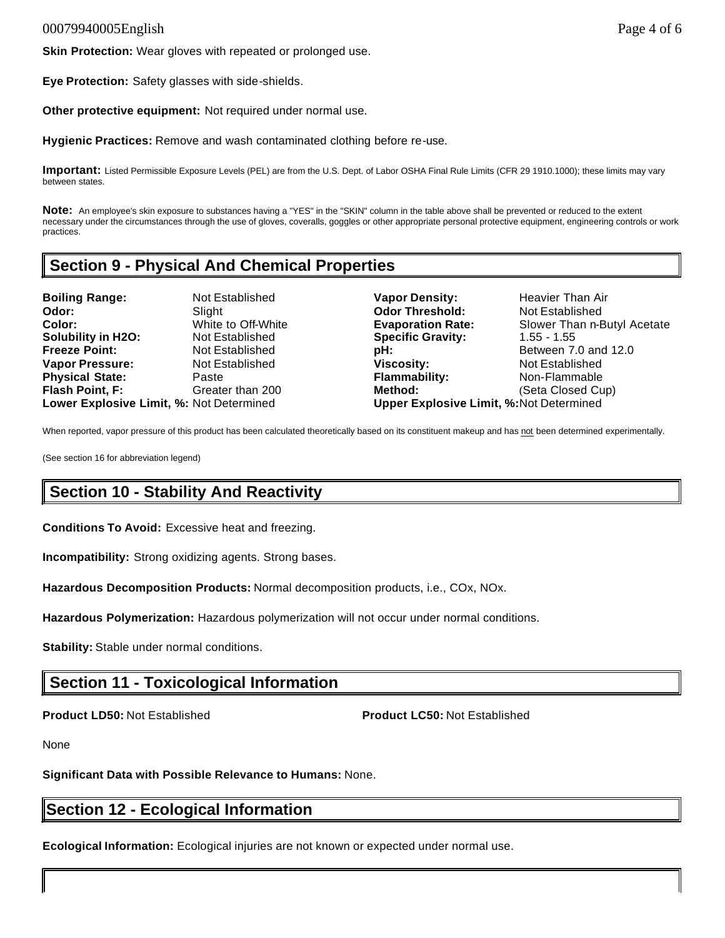**Eye Protection:** Safety glasses with side-shields.

**Other protective equipment:** Not required under normal use.

**Hygienic Practices:** Remove and wash contaminated clothing before re-use.

**Important:** Listed Permissible Exposure Levels (PEL) are from the U.S. Dept. of Labor OSHA Final Rule Limits (CFR 29 1910.1000); these limits may vary between states.

**Note:** An employee's skin exposure to substances having a "YES" in the "SKIN" column in the table above shall be prevented or reduced to the extent necessary under the circumstances through the use of gloves, coveralls, goggles or other appropriate personal protective equipment, engineering controls or work practices.

# **Section 9 - Physical And Chemical Properties**

**Boiling Range:** Not Established **Vapor Density:** Heavier Than Air **Odor: Slight Subset Codor Threshold:** Not Established **Color:** White to Off-White **Evaporation Rate:** Slower Than n-Butyl Acetate **Solubility in H2O:** Not Established **Specific Gravity:** 1.55 - 1.55 **Freeze Point:** Not Established **pH: Between 7.0 and 12.0 Vapor Pressure:** Not Established **Viscosity:** Not Established **Physical State:** Paste **Flammability:** Non-Flammable **Flash Point, F:** Greater than 200 **Method:** (Seta Closed Cup) **Lower Explosive Limit, %:** Not Determined **Upper Explosive Limit, %:**Not Determined

When reported, vapor pressure of this product has been calculated theoretically based on its constituent makeup and has not been determined experimentally.

(See section 16 for abbreviation legend)

# **Section 10 - Stability And Reactivity**

**Conditions To Avoid:** Excessive heat and freezing.

**Incompatibility:** Strong oxidizing agents. Strong bases.

**Hazardous Decomposition Products:** Normal decomposition products, i.e., COx, NOx.

**Hazardous Polymerization:** Hazardous polymerization will not occur under normal conditions.

**Stability:** Stable under normal conditions.

## **Section 11 - Toxicological Information**

**Product LD50:** Not Established **Product LC50:** Not Established

None

**Significant Data with Possible Relevance to Humans:** None.

# **Section 12 - Ecological Information**

**Ecological Information:** Ecological injuries are not known or expected under normal use.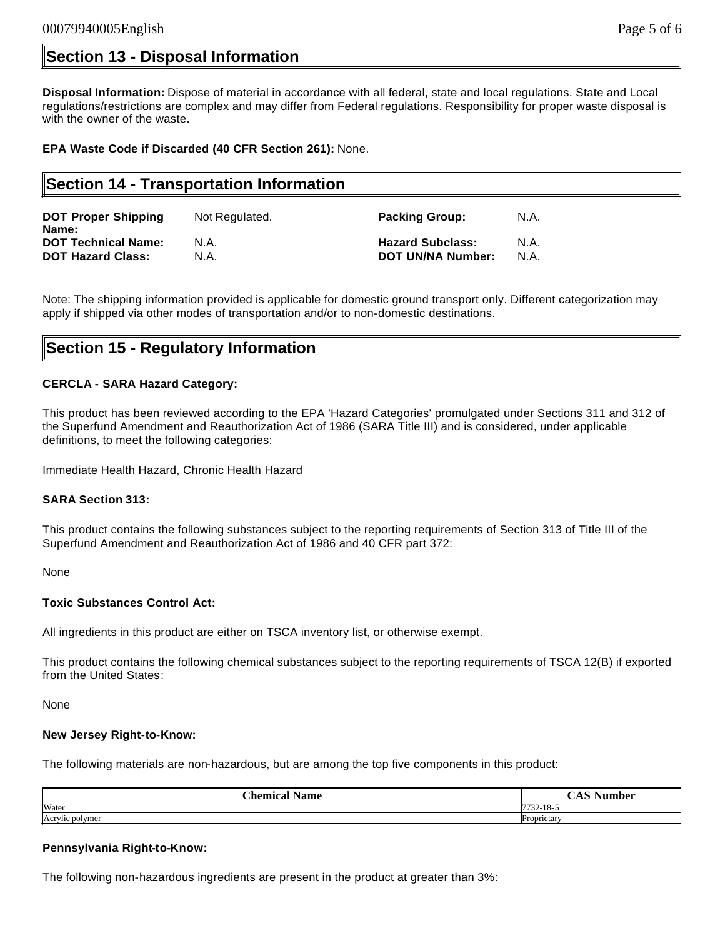## **Section 13 - Disposal Information**

**Disposal Information:** Dispose of material in accordance with all federal, state and local regulations. State and Local regulations/restrictions are complex and may differ from Federal regulations. Responsibility for proper waste disposal is with the owner of the waste.

**EPA Waste Code if Discarded (40 CFR Section 261):** None.

## **Section 14 - Transportation Information**

| <b>DOT Proper Shipping</b><br>Name: | Not Regulated. | <b>Packing Group:</b>   | N.A. |
|-------------------------------------|----------------|-------------------------|------|
| <b>DOT Technical Name:</b>          | N.A.           | <b>Hazard Subclass:</b> | N.A. |
| <b>DOT Hazard Class:</b>            | N.A.           | DOT UN/NA Number:       | N.A. |

Note: The shipping information provided is applicable for domestic ground transport only. Different categorization may apply if shipped via other modes of transportation and/or to non-domestic destinations.

### **Section 15 - Regulatory Information**

### **CERCLA - SARA Hazard Category:**

This product has been reviewed according to the EPA 'Hazard Categories' promulgated under Sections 311 and 312 of the Superfund Amendment and Reauthorization Act of 1986 (SARA Title III) and is considered, under applicable definitions, to meet the following categories:

Immediate Health Hazard, Chronic Health Hazard

### **SARA Section 313:**

This product contains the following substances subject to the reporting requirements of Section 313 of Title III of the Superfund Amendment and Reauthorization Act of 1986 and 40 CFR part 372:

None

### **Toxic Substances Control Act:**

All ingredients in this product are either on TSCA inventory list, or otherwise exempt.

This product contains the following chemical substances subject to the reporting requirements of TSCA 12(B) if exported from the United States:

None

#### **New Jersey Right-to-Know:**

The following materials are non-hazardous, but are among the top five components in this product:

| $\sim$<br>Name<br>`hemica. | $\sim$<br>-<br>$\sim$     |
|----------------------------|---------------------------|
| Water                      | 10<br>7722<br>$22 - 18$ - |
| Acrylic polymer            | Proprietary               |

### **Pennsylvania Right-to-Know:**

The following non-hazardous ingredients are present in the product at greater than 3%: